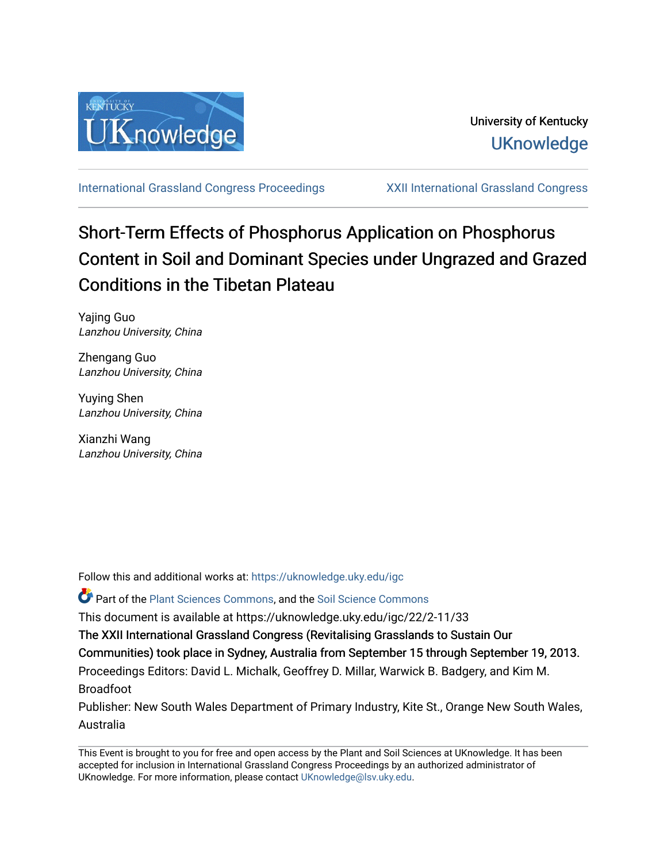

[International Grassland Congress Proceedings](https://uknowledge.uky.edu/igc) [XXII International Grassland Congress](https://uknowledge.uky.edu/igc/22) 

# Short-Term Effects of Phosphorus Application on Phosphorus Content in Soil and Dominant Species under Ungrazed and Grazed Conditions in the Tibetan Plateau

Yajing Guo Lanzhou University, China

Zhengang Guo Lanzhou University, China

Yuying Shen Lanzhou University, China

Xianzhi Wang Lanzhou University, China

Follow this and additional works at: [https://uknowledge.uky.edu/igc](https://uknowledge.uky.edu/igc?utm_source=uknowledge.uky.edu%2Figc%2F22%2F2-11%2F33&utm_medium=PDF&utm_campaign=PDFCoverPages) 

**P** Part of the [Plant Sciences Commons](http://network.bepress.com/hgg/discipline/102?utm_source=uknowledge.uky.edu%2Figc%2F22%2F2-11%2F33&utm_medium=PDF&utm_campaign=PDFCoverPages), and the Soil Science Commons

This document is available at https://uknowledge.uky.edu/igc/22/2-11/33

The XXII International Grassland Congress (Revitalising Grasslands to Sustain Our

Communities) took place in Sydney, Australia from September 15 through September 19, 2013.

Proceedings Editors: David L. Michalk, Geoffrey D. Millar, Warwick B. Badgery, and Kim M. Broadfoot

Publisher: New South Wales Department of Primary Industry, Kite St., Orange New South Wales, Australia

This Event is brought to you for free and open access by the Plant and Soil Sciences at UKnowledge. It has been accepted for inclusion in International Grassland Congress Proceedings by an authorized administrator of UKnowledge. For more information, please contact [UKnowledge@lsv.uky.edu](mailto:UKnowledge@lsv.uky.edu).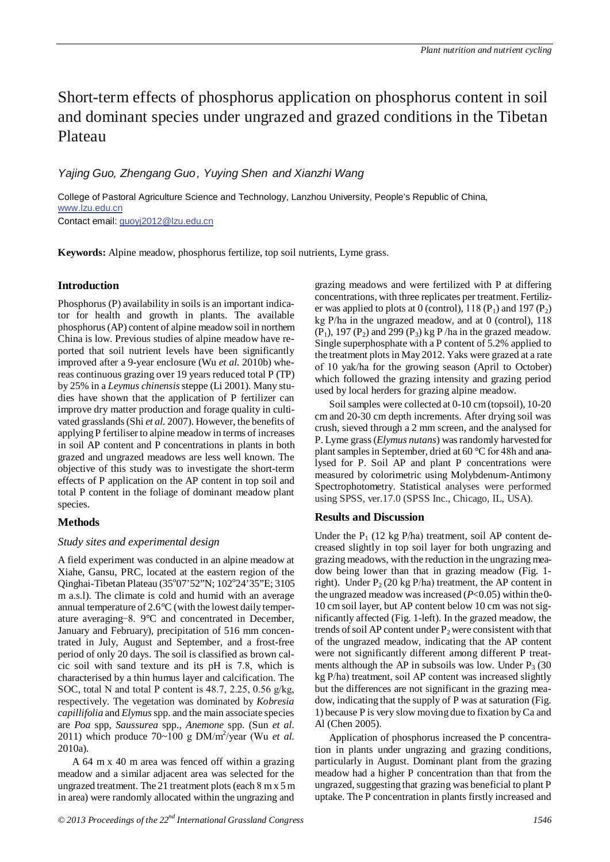# Short-term effects of phosphorus application on phosphorus content in soil and dominant species under ungrazed and grazed conditions in the Tibetan Plateau

## *Yajing Guo, Zhengang Guo, Yuying Shen and Xianzhi Wang*

College of Pastoral Agriculture Science and Technology, Lanzhou University, People's Republic of China, www.lzu.edu.cn

Contact email: guoyj2012@lzu.edu.cn

**Keywords:** Alpine meadow, phosphorus fertilize, top soil nutrients, Lyme grass.

### **Introduction**

Phosphorus (P) availability in soils is an important indicator for health and growth in plants. The available phosphorus (AP) content of alpine meadow soil in northern China is low. Previous studies of alpine meadow have reported that soil nutrient levels have been significantly improved after a 9-year enclosure (Wu *et al.* 2010b) whereas continuous grazing over 19 years reduced total P (TP) by 25% in a *Leymus chinensis* steppe (Li 2001). Many studies have shown that the application of P fertilizer can improve dry matter production and forage quality in cultivated grasslands (Shi *et al.* 2007). However, the benefits of applying P fertiliser to alpine meadow in terms of increases in soil AP content and P concentrations in plants in both grazed and ungrazed meadows are less well known. The objective of this study was to investigate the short-term effects of P application on the AP content in top soil and total P content in the foliage of dominant meadow plant species.

#### **Methods**

#### *Study sites and experimental design*

A field experiment was conducted in an alpine meadow at Xiahe, Gansu, PRC, located at the eastern region of the Qinghai-Tibetan Plateau (35°07'52"N; 102°24'35"E; 3105 m a.s.l). The climate is cold and humid with an average annual temperature of 2.6°C (with the lowest daily temperature averaging −8. 9°C and concentrated in December, January and February), precipitation of 516 mm concentrated in July, August and September, and a frost-free period of only 20 days. The soil is classified as brown calcic soil with sand texture and its pH is 7.8, which is characterised by a thin humus layer and calcification. The SOC, total N and total P content is 48.7, 2.25, 0.56 g/kg, respectively. The vegetation was dominated by *Kobresia capillifolia* and *Elymus* spp. and the main associate species are *Poa* spp, *Saussurea* spp., *Anemone* spp. (Sun *et al.* 2011) which produce  $70~100$  g DM/m<sup>2</sup>/year (Wu *et al.* 2010a).

A 64 m x 40 m area was fenced off within a grazing meadow and a similar adjacent area was selected for the ungrazed treatment. The 21 treatment plots (each 8 m x 5 m in area) were randomly allocated within the ungrazing and

grazing meadows and were fertilized with P at differing concentrations, with three replicates per treatment. Fertilizer was applied to plots at 0 (control), 118 ( $P_1$ ) and 197 ( $P_2$ ) kg P/ha in the ungrazed meadow, and at 0 (control), 118  $(P_1)$ , 197  $(P_2)$  and 299  $(P_3)$  kg P/ha in the grazed meadow. Single superphosphate with a P content of 5.2% applied to the treatment plots in May 2012. Yaks were grazed at a rate of 10 yak/ha for the growing season (April to October) which followed the grazing intensity and grazing period used by local herders for grazing alpine meadow.

Soil samples were collected at 0-10 cm (topsoil), 10-20 cm and 20-30 cm depth increments. After drying soil was crush, sieved through a 2 mm screen, and the analysed for P. Lyme grass (*Elymus nutans*) was randomly harvested for plant samplesin September, dried at 60 °C for 48h and analysed for P. Soil AP and plant P concentrations were measured by colorimetric using Molybdenum-Antimony Spectrophotometry. Statistical analyses were performed using SPSS, ver.17.0 (SPSS Inc., Chicago, IL, USA).

#### **Results and Discussion**

Under the  $P_1$  (12 kg P/ha) treatment, soil AP content decreased slightly in top soil layer for both ungrazing and grazing meadows, with the reduction in the ungrazing meadow being lower than that in grazing meadow (Fig. 1 right). Under  $P_2$  (20 kg P/ha) treatment, the AP content in the ungrazed meadow was increased (*P*<0.05) within the 0- 10 cm soil layer, but AP content below 10 cm was not significantly affected (Fig. 1-left). In the grazed meadow, the trends of soil AP content under  $P_2$  were consistent with that of the ungrazed meadow, indicating that the AP content were not significantly different among different P treatments although the AP in subsoils was low. Under  $P_3$  (30) kg P/ha) treatment, soil AP content was increased slightly but the differences are not significant in the grazing meadow, indicating that the supply of P was at saturation (Fig. 1) because P is very slow moving due to fixation by Ca and Al (Chen 2005).

Application of phosphorus increased the P concentration in plants under ungrazing and grazing conditions, particularly in August. Dominant plant from the grazing meadow had a higher P concentration than that from the ungrazed, suggesting that grazing was beneficial to plant P uptake. The P concentration in plants firstly increased and